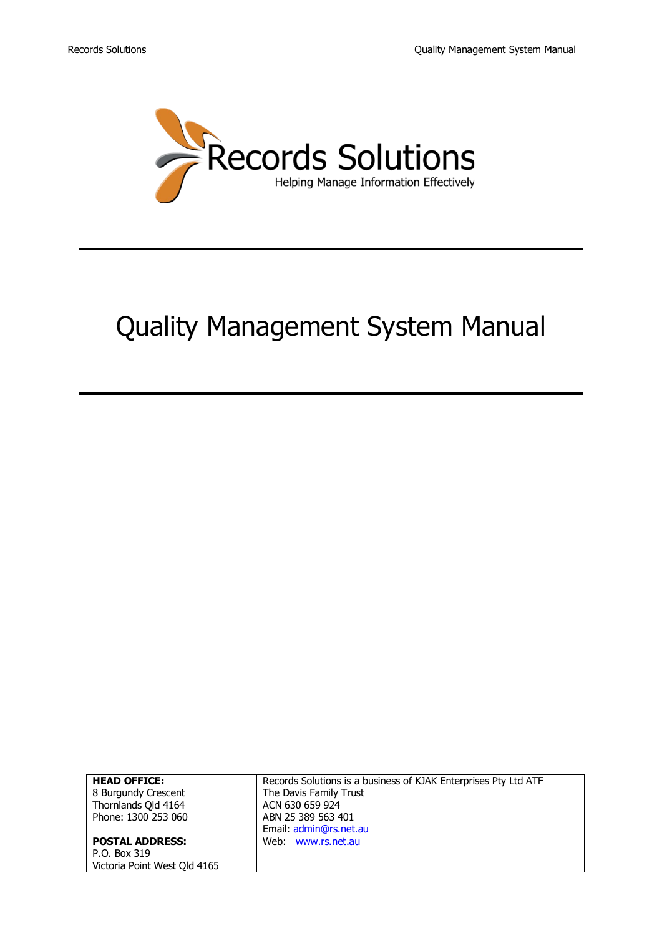

# Quality Management System Manual

| <b>HEAD OFFICE:</b>          | Records Solutions is a business of KJAK Enterprises Pty Ltd ATF |
|------------------------------|-----------------------------------------------------------------|
| 8 Burgundy Crescent          | The Davis Family Trust                                          |
| Thornlands Qld 4164          | ACN 630 659 924                                                 |
| Phone: 1300 253 060          | ABN 25 389 563 401                                              |
|                              | Email: admin@rs.net.au                                          |
| <b>POSTAL ADDRESS:</b>       | Web: www.rs.net.au                                              |
| P.O. Box 319                 |                                                                 |
| Victoria Point West Qld 4165 |                                                                 |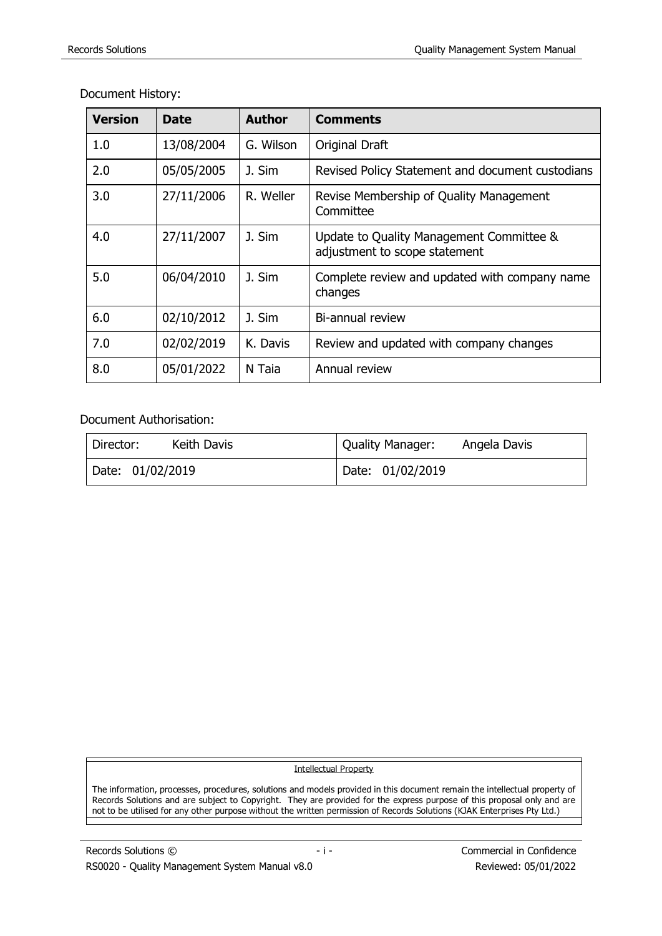| <b>Version</b> | Date       | <b>Author</b> | <b>Comments</b>                                                           |
|----------------|------------|---------------|---------------------------------------------------------------------------|
| 1.0            | 13/08/2004 | G. Wilson     | Original Draft                                                            |
| 2.0            | 05/05/2005 | J. Sim        | Revised Policy Statement and document custodians                          |
| 3.0            | 27/11/2006 | R. Weller     | Revise Membership of Quality Management<br>Committee                      |
| 4.0            | 27/11/2007 | J. Sim        | Update to Quality Management Committee &<br>adjustment to scope statement |
| 5.0            | 06/04/2010 | J. Sim        | Complete review and updated with company name<br>changes                  |
| 6.0            | 02/10/2012 | J. Sim        | Bi-annual review                                                          |
| 7.0            | 02/02/2019 | K. Davis      | Review and updated with company changes                                   |
| 8.0            | 05/01/2022 | N Taia        | Annual review                                                             |

Document History:

Document Authorisation:

| Director:        | Quality Manager: |
|------------------|------------------|
| Keith Davis      | Angela Davis     |
| Date: 01/02/2019 | Date: 01/02/2019 |

Intellectual Property

The information, processes, procedures, solutions and models provided in this document remain the intellectual property of Records Solutions and are subject to Copyright. They are provided for the express purpose of this proposal only and are not to be utilised for any other purpose without the written permission of Records Solutions (KJAK Enterprises Pty Ltd.)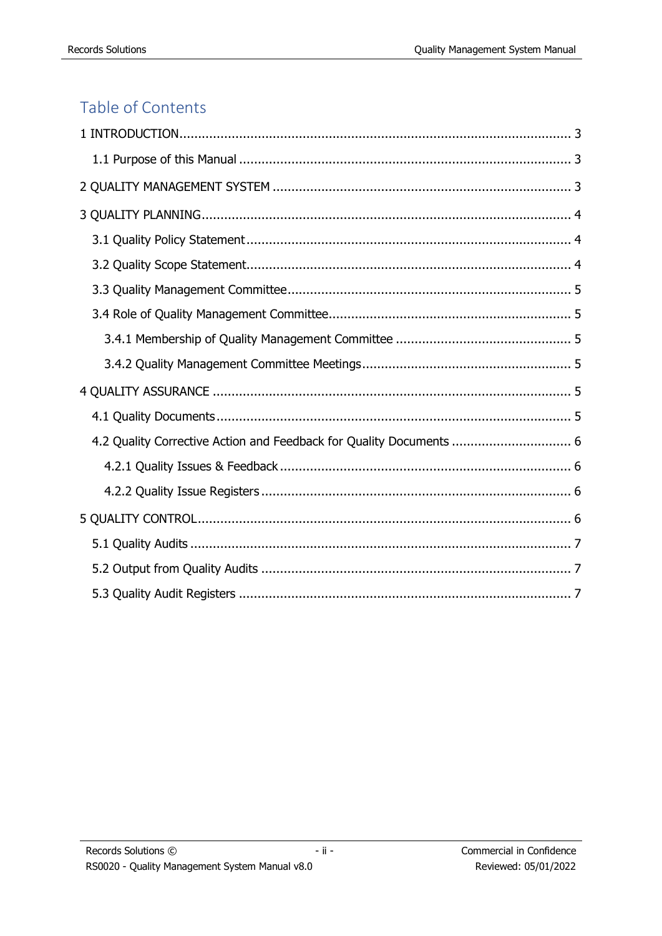# Table of Contents

| 4.2 Quality Corrective Action and Feedback for Quality Documents  6 |  |
|---------------------------------------------------------------------|--|
|                                                                     |  |
|                                                                     |  |
|                                                                     |  |
|                                                                     |  |
|                                                                     |  |
|                                                                     |  |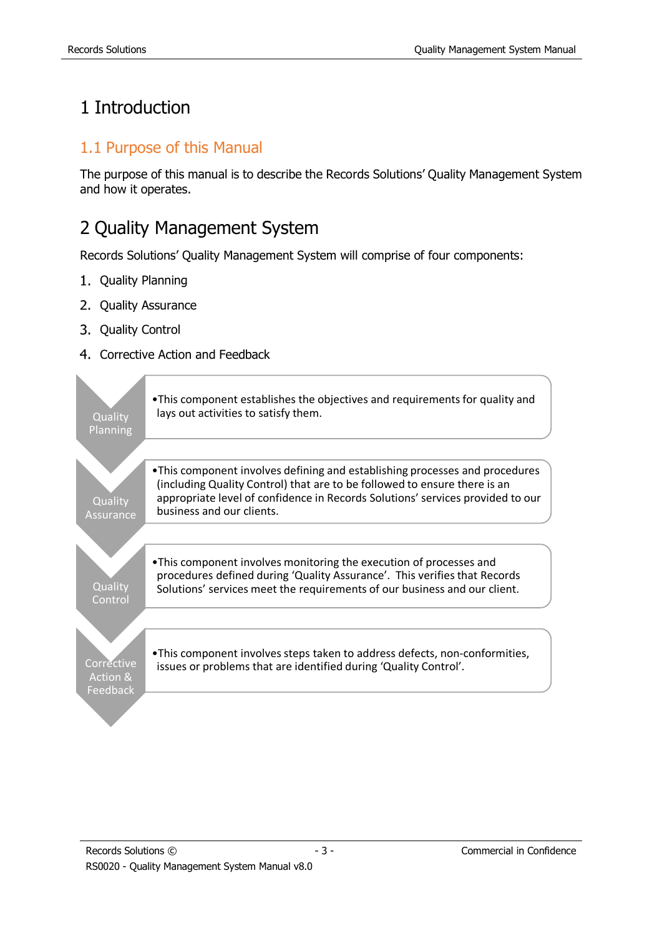# <span id="page-3-0"></span>1 Introduction

#### <span id="page-3-1"></span>1.1 Purpose of this Manual

The purpose of this manual is to describe the Records Solutions' Quality Management System and how it operates.

# <span id="page-3-2"></span>2 Quality Management System

Records Solutions' Quality Management System will comprise of four components:

- 1. Quality Planning
- 2. Quality Assurance
- 3. Quality Control
- 4. Corrective Action and Feedback

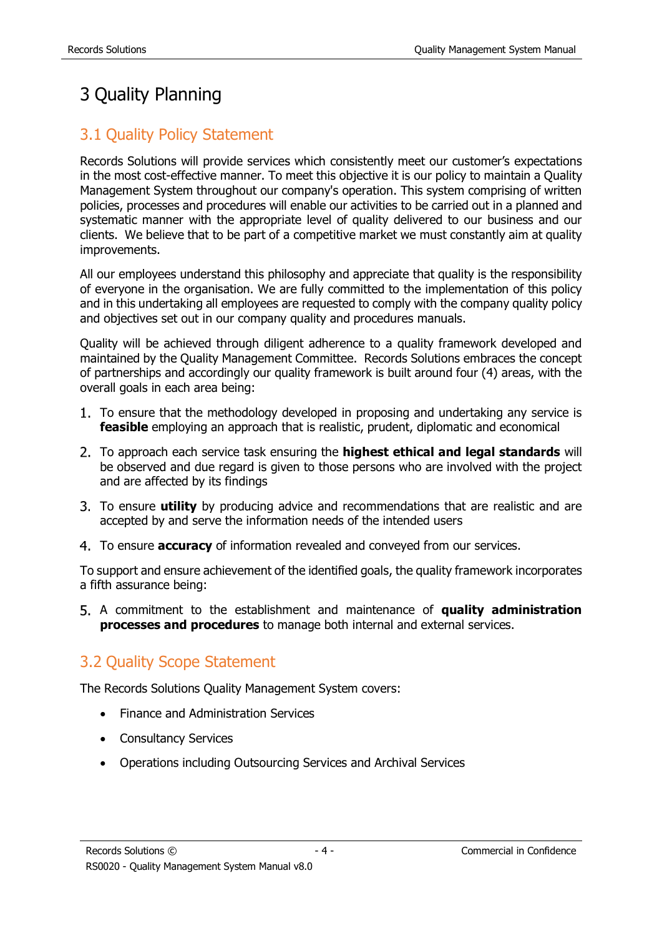# <span id="page-4-0"></span>3 Quality Planning

### <span id="page-4-1"></span>3.1 Quality Policy Statement

Records Solutions will provide services which consistently meet our customer's expectations in the most cost-effective manner. To meet this objective it is our policy to maintain a Quality Management System throughout our company's operation. This system comprising of written policies, processes and procedures will enable our activities to be carried out in a planned and systematic manner with the appropriate level of quality delivered to our business and our clients. We believe that to be part of a competitive market we must constantly aim at quality improvements.

All our employees understand this philosophy and appreciate that quality is the responsibility of everyone in the organisation. We are fully committed to the implementation of this policy and in this undertaking all employees are requested to comply with the company quality policy and objectives set out in our company quality and procedures manuals.

Quality will be achieved through diligent adherence to a quality framework developed and maintained by the Quality Management Committee. Records Solutions embraces the concept of partnerships and accordingly our quality framework is built around four (4) areas, with the overall goals in each area being:

- 1. To ensure that the methodology developed in proposing and undertaking any service is **feasible** employing an approach that is realistic, prudent, diplomatic and economical
- To approach each service task ensuring the **highest ethical and legal standards** will be observed and due regard is given to those persons who are involved with the project and are affected by its findings
- To ensure **utility** by producing advice and recommendations that are realistic and are accepted by and serve the information needs of the intended users
- To ensure **accuracy** of information revealed and conveyed from our services.

To support and ensure achievement of the identified goals, the quality framework incorporates a fifth assurance being:

A commitment to the establishment and maintenance of **quality administration processes and procedures** to manage both internal and external services.

## <span id="page-4-2"></span>3.2 Quality Scope Statement

The Records Solutions Quality Management System covers:

- Finance and Administration Services
- Consultancy Services
- Operations including Outsourcing Services and Archival Services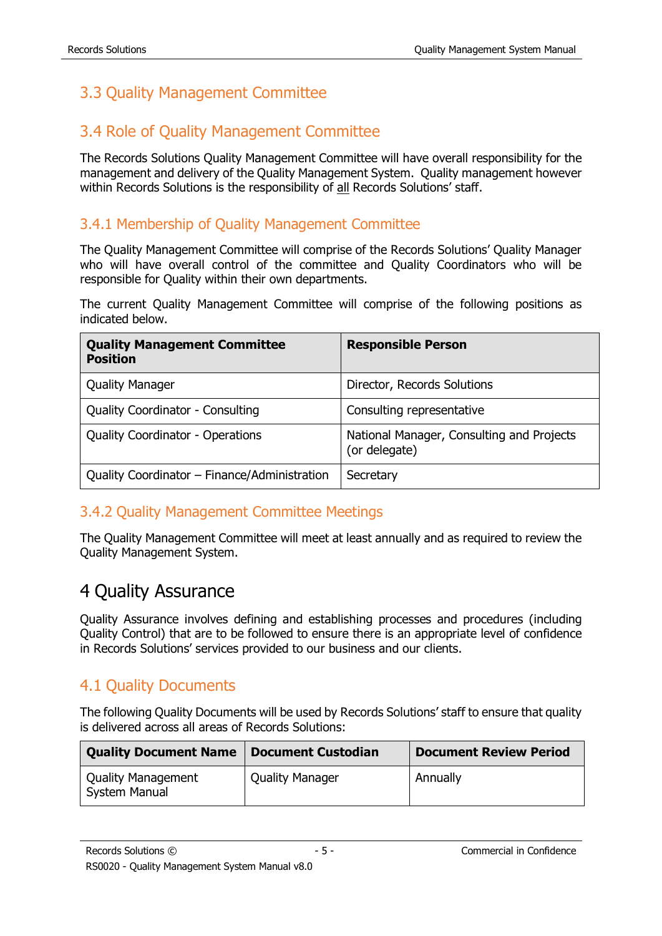# <span id="page-5-0"></span>3.3 Quality Management Committee

### <span id="page-5-1"></span>3.4 Role of Quality Management Committee

The Records Solutions Quality Management Committee will have overall responsibility for the management and delivery of the Quality Management System. Quality management however within Records Solutions is the responsibility of all Records Solutions' staff.

#### <span id="page-5-2"></span>3.4.1 Membership of Quality Management Committee

The Quality Management Committee will comprise of the Records Solutions' Quality Manager who will have overall control of the committee and Quality Coordinators who will be responsible for Quality within their own departments.

The current Quality Management Committee will comprise of the following positions as indicated below.

| <b>Quality Management Committee</b><br><b>Position</b> | <b>Responsible Person</b>                                  |
|--------------------------------------------------------|------------------------------------------------------------|
| <b>Quality Manager</b>                                 | Director, Records Solutions                                |
| <b>Quality Coordinator - Consulting</b>                | Consulting representative                                  |
| <b>Quality Coordinator - Operations</b>                | National Manager, Consulting and Projects<br>(or delegate) |
| Quality Coordinator - Finance/Administration           | Secretary                                                  |

#### <span id="page-5-3"></span>3.4.2 Quality Management Committee Meetings

The Quality Management Committee will meet at least annually and as required to review the Quality Management System.

## <span id="page-5-4"></span>4 Quality Assurance

Quality Assurance involves defining and establishing processes and procedures (including Quality Control) that are to be followed to ensure there is an appropriate level of confidence in Records Solutions' services provided to our business and our clients.

#### <span id="page-5-5"></span>4.1 Quality Documents

The following Quality Documents will be used by Records Solutions' staff to ensure that quality is delivered across all areas of Records Solutions:

| <b>Quality Document Name</b>                      | Document Custodian | <b>Document Review Period</b> |
|---------------------------------------------------|--------------------|-------------------------------|
| <b>Quality Management</b><br><b>System Manual</b> | Quality Manager    | Annually                      |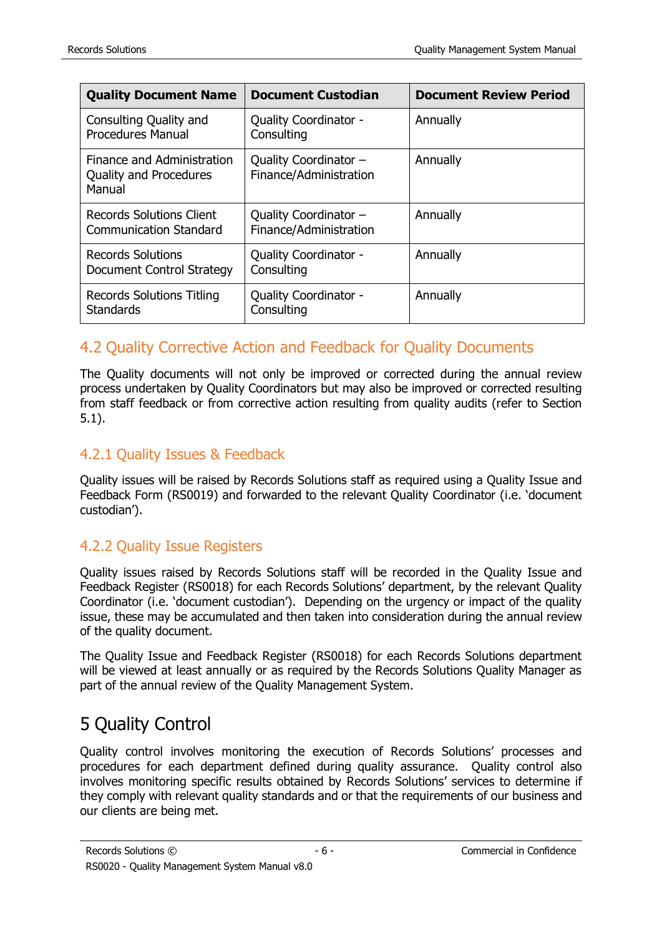| <b>Quality Document Name</b>                                          | <b>Document Custodian</b>                         | <b>Document Review Period</b> |
|-----------------------------------------------------------------------|---------------------------------------------------|-------------------------------|
| Consulting Quality and<br><b>Procedures Manual</b>                    | <b>Quality Coordinator -</b><br>Consulting        | Annually                      |
| Finance and Administration<br><b>Quality and Procedures</b><br>Manual | Quality Coordinator -<br>Finance/Administration   | Annually                      |
| <b>Records Solutions Client</b><br><b>Communication Standard</b>      | Quality Coordinator $-$<br>Finance/Administration | Annually                      |
| <b>Records Solutions</b><br>Document Control Strategy                 | <b>Quality Coordinator -</b><br>Consulting        | Annually                      |
| Records Solutions Titling<br><b>Standards</b>                         | Quality Coordinator -<br>Consulting               | Annually                      |

### <span id="page-6-0"></span>4.2 Quality Corrective Action and Feedback for Quality Documents

The Quality documents will not only be improved or corrected during the annual review process undertaken by Quality Coordinators but may also be improved or corrected resulting from staff feedback or from corrective action resulting from quality audits (refer to Section 5.1).

#### <span id="page-6-1"></span>4.2.1 Quality Issues & Feedback

Quality issues will be raised by Records Solutions staff as required using a Quality Issue and Feedback Form (RS0019) and forwarded to the relevant Quality Coordinator (i.e. 'document custodian').

#### <span id="page-6-2"></span>4.2.2 Quality Issue Registers

Quality issues raised by Records Solutions staff will be recorded in the Quality Issue and Feedback Register (RS0018) for each Records Solutions' department, by the relevant Quality Coordinator (i.e. 'document custodian'). Depending on the urgency or impact of the quality issue, these may be accumulated and then taken into consideration during the annual review of the quality document.

The Quality Issue and Feedback Register (RS0018) for each Records Solutions department will be viewed at least annually or as required by the Records Solutions Quality Manager as part of the annual review of the Quality Management System.

# <span id="page-6-3"></span>5 Quality Control

Quality control involves monitoring the execution of Records Solutions' processes and procedures for each department defined during quality assurance. Quality control also involves monitoring specific results obtained by Records Solutions' services to determine if they comply with relevant quality standards and or that the requirements of our business and our clients are being met.